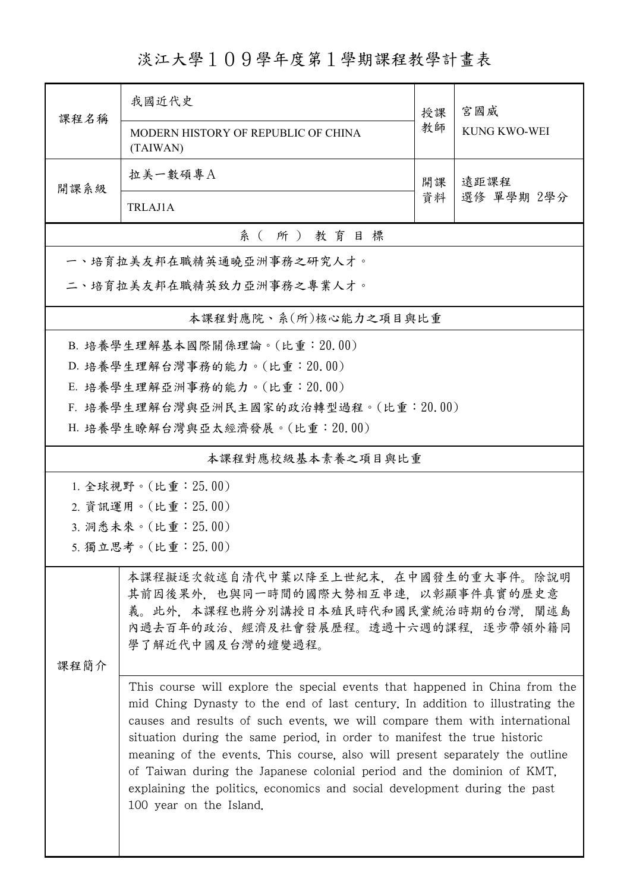淡江大學109學年度第1學期課程教學計畫表

|                                                                                                                                                                                                                                                                                                                                                                                                                                                                                                                                                                                                                                                                                                                                                                                   | 我國近代史                                           | 授課 | 宮國威<br><b>KUNG KWO-WEI</b> |  |  |  |  |  |  |
|-----------------------------------------------------------------------------------------------------------------------------------------------------------------------------------------------------------------------------------------------------------------------------------------------------------------------------------------------------------------------------------------------------------------------------------------------------------------------------------------------------------------------------------------------------------------------------------------------------------------------------------------------------------------------------------------------------------------------------------------------------------------------------------|-------------------------------------------------|----|----------------------------|--|--|--|--|--|--|
| 課程名稱                                                                                                                                                                                                                                                                                                                                                                                                                                                                                                                                                                                                                                                                                                                                                                              | MODERN HISTORY OF REPUBLIC OF CHINA<br>(TAIWAN) | 教師 |                            |  |  |  |  |  |  |
|                                                                                                                                                                                                                                                                                                                                                                                                                                                                                                                                                                                                                                                                                                                                                                                   | 拉美一數碩專A                                         | 開課 | 遠距課程<br>選修 單學期 2學分         |  |  |  |  |  |  |
| 開課系級                                                                                                                                                                                                                                                                                                                                                                                                                                                                                                                                                                                                                                                                                                                                                                              | <b>TRLAJ1A</b>                                  | 資料 |                            |  |  |  |  |  |  |
| 系(所)教育目標                                                                                                                                                                                                                                                                                                                                                                                                                                                                                                                                                                                                                                                                                                                                                                          |                                                 |    |                            |  |  |  |  |  |  |
| 一、培育拉美友邦在職精英通曉亞洲事務之研究人才。                                                                                                                                                                                                                                                                                                                                                                                                                                                                                                                                                                                                                                                                                                                                                          |                                                 |    |                            |  |  |  |  |  |  |
| 二、培育拉美友邦在職精英致力亞洲事務之專業人才。                                                                                                                                                                                                                                                                                                                                                                                                                                                                                                                                                                                                                                                                                                                                                          |                                                 |    |                            |  |  |  |  |  |  |
|                                                                                                                                                                                                                                                                                                                                                                                                                                                                                                                                                                                                                                                                                                                                                                                   | 本課程對應院、系(所)核心能力之項目與比重                           |    |                            |  |  |  |  |  |  |
|                                                                                                                                                                                                                                                                                                                                                                                                                                                                                                                                                                                                                                                                                                                                                                                   | B. 培養學生理解基本國際關係理論。(比重: 20.00)                   |    |                            |  |  |  |  |  |  |
|                                                                                                                                                                                                                                                                                                                                                                                                                                                                                                                                                                                                                                                                                                                                                                                   | D. 培養學生理解台灣事務的能力。(比重: 20.00)                    |    |                            |  |  |  |  |  |  |
|                                                                                                                                                                                                                                                                                                                                                                                                                                                                                                                                                                                                                                                                                                                                                                                   | E. 培養學生理解亞洲事務的能力。(比重: 20.00)                    |    |                            |  |  |  |  |  |  |
|                                                                                                                                                                                                                                                                                                                                                                                                                                                                                                                                                                                                                                                                                                                                                                                   | F. 培養學生理解台灣與亞洲民主國家的政治轉型過程。(比重:20.00)            |    |                            |  |  |  |  |  |  |
|                                                                                                                                                                                                                                                                                                                                                                                                                                                                                                                                                                                                                                                                                                                                                                                   | H. 培養學生瞭解台灣與亞太經濟發展。(比重: 20.00)                  |    |                            |  |  |  |  |  |  |
|                                                                                                                                                                                                                                                                                                                                                                                                                                                                                                                                                                                                                                                                                                                                                                                   | 本課程對應校級基本素養之項目與比重                               |    |                            |  |  |  |  |  |  |
|                                                                                                                                                                                                                                                                                                                                                                                                                                                                                                                                                                                                                                                                                                                                                                                   | 1. 全球視野。(比重:25.00)                              |    |                            |  |  |  |  |  |  |
| 2. 資訊運用。(比重: 25.00)                                                                                                                                                                                                                                                                                                                                                                                                                                                                                                                                                                                                                                                                                                                                                               |                                                 |    |                            |  |  |  |  |  |  |
|                                                                                                                                                                                                                                                                                                                                                                                                                                                                                                                                                                                                                                                                                                                                                                                   | 3. 洞悉未來。(比重: 25.00)                             |    |                            |  |  |  |  |  |  |
|                                                                                                                                                                                                                                                                                                                                                                                                                                                                                                                                                                                                                                                                                                                                                                                   | 5. 獨立思考。(比重: 25.00)                             |    |                            |  |  |  |  |  |  |
| 本課程擬逐次敘述自清代中葉以降至上世紀末、在中國發生的重大事件。除說明<br>其前因後果外,也與同一時間的國際大勢相互串連,以彰顯事件真實的歷史意<br>義。此外, 本課程也將分別講授日本殖民時代和國民黨統治時期的台灣, 闡述島<br>内過去百年的政治、經濟及社會發展歷程。透過十六週的課程、逐步帶領外籍同<br>學了解近代中國及台灣的嬗變過程。<br>課程簡介<br>This course will explore the special events that happened in China from the<br>mid Ching Dynasty to the end of last century. In addition to illustrating the<br>causes and results of such events, we will compare them with international<br>situation during the same period, in order to manifest the true historic<br>meaning of the events. This course, also will present separately the outline<br>of Taiwan during the Japanese colonial period and the dominion of KMT,<br>explaining the politics, economics and social development during the past<br>100 year on the Island. |                                                 |    |                            |  |  |  |  |  |  |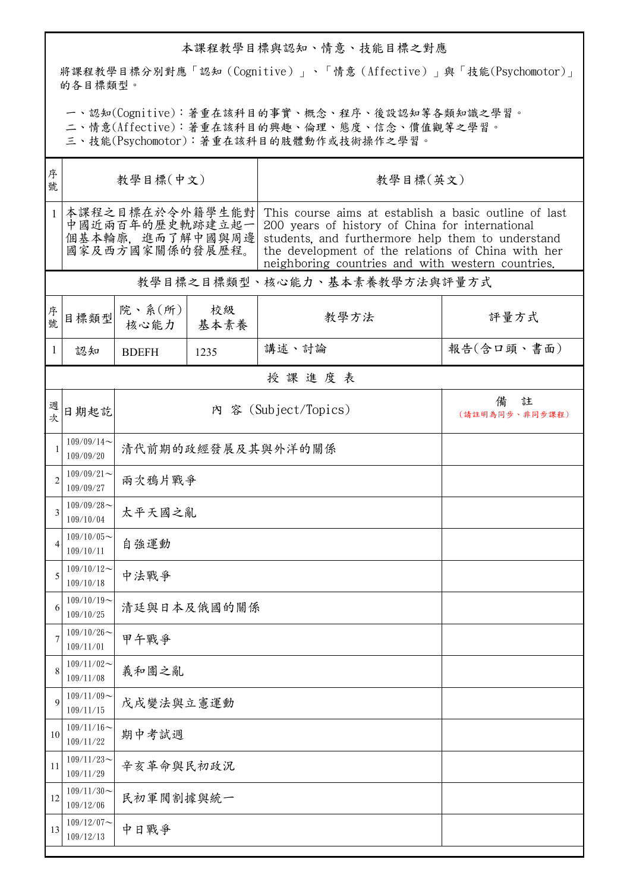## 本課程教學目標與認知、情意、技能目標之對應

將課程教學目標分別對應「認知(Cognitive)」、「情意(Affective)」與「技能(Psychomotor)」 的各目標類型。

一、認知(Cognitive):著重在該科目的事實、概念、程序、後設認知等各類知識之學習。

二、情意(Affective):著重在該科目的興趣、倫理、態度、信念、價值觀等之學習。

三、技能(Psychomotor):著重在該科目的肢體動作或技術操作之學習。

| 序<br>號         | 教學目標(中文)                                                                  |                   |            | 教學目標(英文)                                                                                                                                                                                                                                                                 |                          |  |  |  |
|----------------|---------------------------------------------------------------------------|-------------------|------------|--------------------------------------------------------------------------------------------------------------------------------------------------------------------------------------------------------------------------------------------------------------------------|--------------------------|--|--|--|
| $\mathbf{1}$   | 本課程之目標在於令外籍學生能對<br>中國近兩百年的歷史軌跡建立起一<br>個基本輪廓, 進而了解中國與周邊<br>國家及西方國家關係的發展歷程。 |                   |            | This course aims at establish a basic outline of last<br>200 years of history of China for international<br>students, and furthermore help them to understand<br>the development of the relations of China with her<br>neighboring countries and with western countries. |                          |  |  |  |
|                | 教學目標之目標類型、核心能力、基本素養教學方法與評量方式                                              |                   |            |                                                                                                                                                                                                                                                                          |                          |  |  |  |
| 序號             | 目標類型                                                                      | 院、系(所)<br>核心能力    | 校級<br>基本素養 | 教學方法                                                                                                                                                                                                                                                                     | 評量方式                     |  |  |  |
| 1              | 認知                                                                        | <b>BDEFH</b>      | 1235       | 講述、討論                                                                                                                                                                                                                                                                    | 報告(含口頭、書面)               |  |  |  |
|                | 授課進度表                                                                     |                   |            |                                                                                                                                                                                                                                                                          |                          |  |  |  |
| 週次             | 日期起訖                                                                      |                   |            | 內 容 (Subject/Topics)                                                                                                                                                                                                                                                     | 註<br>備<br>(請註明為同步、非同步課程) |  |  |  |
| 1              | $109/09/14$ ~<br>109/09/20                                                | 清代前期的政經發展及其與外洋的關係 |            |                                                                                                                                                                                                                                                                          |                          |  |  |  |
| $\overline{2}$ | $109/09/21$ ~<br>109/09/27                                                | 兩次鴉片戰爭            |            |                                                                                                                                                                                                                                                                          |                          |  |  |  |
| 3              | $109/09/28$ ~<br>109/10/04                                                | 太平天國之亂            |            |                                                                                                                                                                                                                                                                          |                          |  |  |  |
| $\overline{4}$ | $109/10/05$ ~<br>109/10/11                                                | 自強運動              |            |                                                                                                                                                                                                                                                                          |                          |  |  |  |
| 5              | $109/10/12$ ~<br>109/10/18                                                | 中法戰爭              |            |                                                                                                                                                                                                                                                                          |                          |  |  |  |
| 6              | $109/10/19$ ~<br>109/10/25                                                | 清廷與日本及俄國的關係       |            |                                                                                                                                                                                                                                                                          |                          |  |  |  |
| 7              | $109/10/26$ ~<br>109/11/01                                                | 甲午戰爭              |            |                                                                                                                                                                                                                                                                          |                          |  |  |  |
| 8              | $109/11/02$ ~<br>109/11/08                                                | 義和團之亂             |            |                                                                                                                                                                                                                                                                          |                          |  |  |  |
| 9              | $109/11/09$ ~<br>109/11/15                                                | 戊戌變法與立憲運動         |            |                                                                                                                                                                                                                                                                          |                          |  |  |  |
| 10             | $109/11/16$ ~<br>109/11/22                                                | 期中考試週             |            |                                                                                                                                                                                                                                                                          |                          |  |  |  |
| 11             | $109/11/23$ ~<br>109/11/29                                                | 辛亥革命與民初政況         |            |                                                                                                                                                                                                                                                                          |                          |  |  |  |
| 12             | $109/11/30$ ~<br>109/12/06                                                | 民初軍閥割據與統一         |            |                                                                                                                                                                                                                                                                          |                          |  |  |  |
| 13             | $109/12/07$ ~<br>109/12/13                                                | 中日戰爭              |            |                                                                                                                                                                                                                                                                          |                          |  |  |  |